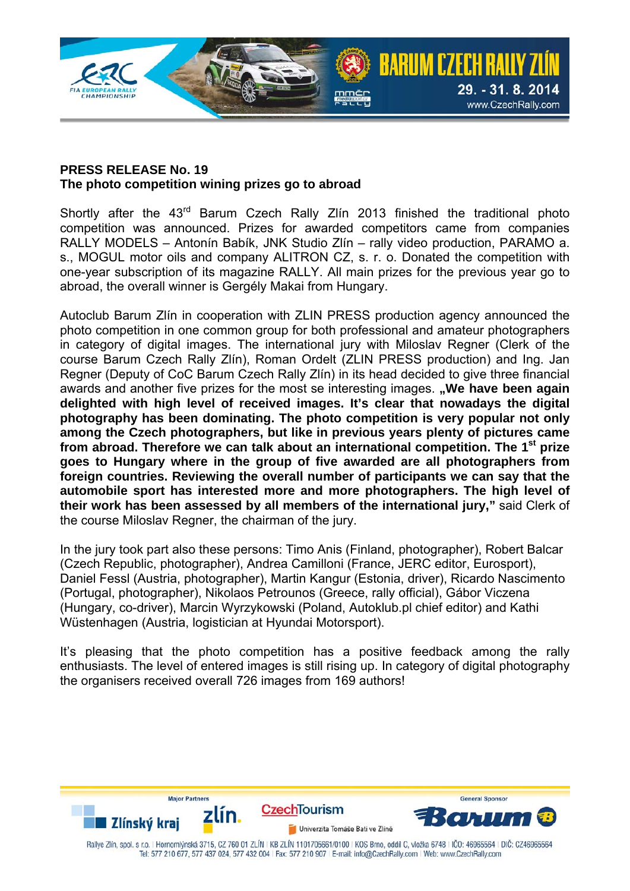

## **PRESS RELEASE No. 19 The photo competition wining prizes go to abroad**

Shortly after the 43<sup>rd</sup> Barum Czech Rally Zlín 2013 finished the traditional photo competition was announced. Prizes for awarded competitors came from companies RALLY MODELS – Antonín Babík, JNK Studio Zlín – rally video production, PARAMO a. s., MOGUL motor oils and company ALITRON CZ, s. r. o. Donated the competition with one-year subscription of its magazine RALLY. All main prizes for the previous year go to abroad, the overall winner is Gergély Makai from Hungary.

Autoclub Barum Zlín in cooperation with ZLIN PRESS production agency announced the photo competition in one common group for both professional and amateur photographers in category of digital images. The international jury with Miloslav Regner (Clerk of the course Barum Czech Rally Zlín), Roman Ordelt (ZLIN PRESS production) and Ing. Jan Regner (Deputy of CoC Barum Czech Rally Zlín) in its head decided to give three financial awards and another five prizes for the most se interesting images. **"We have been again delighted with high level of received images. It's clear that nowadays the digital photography has been dominating. The photo competition is very popular not only among the Czech photographers, but like in previous years plenty of pictures came from abroad. Therefore we can talk about an international competition. The 1st prize goes to Hungary where in the group of five awarded are all photographers from foreign countries. Reviewing the overall number of participants we can say that the automobile sport has interested more and more photographers. The high level of their work has been assessed by all members of the international jury,"** said Clerk of the course Miloslav Regner, the chairman of the jury.

In the jury took part also these persons: Timo Anis (Finland, photographer), Robert Balcar (Czech Republic, photographer), Andrea Camilloni (France, JERC editor, Eurosport), Daniel Fessl (Austria, photographer), Martin Kangur (Estonia, driver), Ricardo Nascimento (Portugal, photographer), Nikolaos Petrounos (Greece, rally official), Gábor Viczena (Hungary, co-driver), Marcin Wyrzykowski (Poland, Autoklub.pl chief editor) and Kathi Wüstenhagen (Austria, logistician at Hyundai Motorsport).

It's pleasing that the photo competition has a positive feedback among the rally enthusiasts. The level of entered images is still rising up. In category of digital photography the organisers received overall 726 images from 169 authors!